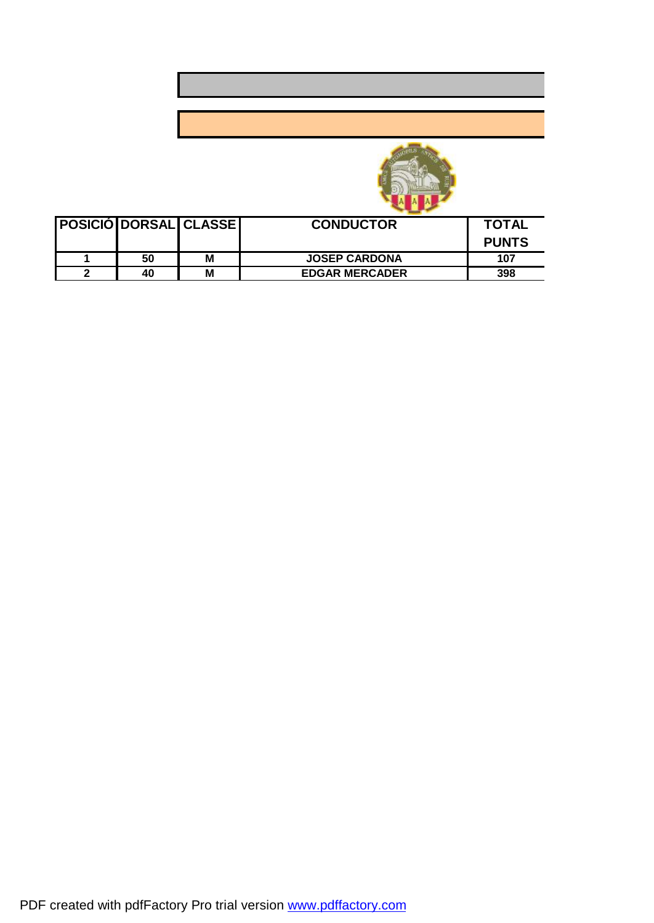



|    | <b>POSICIÓ DORSAL CLASSE</b> | <b>CONDUCTOR</b>      | <b>TOTAL</b> |
|----|------------------------------|-----------------------|--------------|
|    |                              |                       | <b>PUNTS</b> |
| 50 | М                            | <b>JOSEP CARDONA</b>  | 107          |
| 40 | M                            | <b>EDGAR MERCADER</b> | 398          |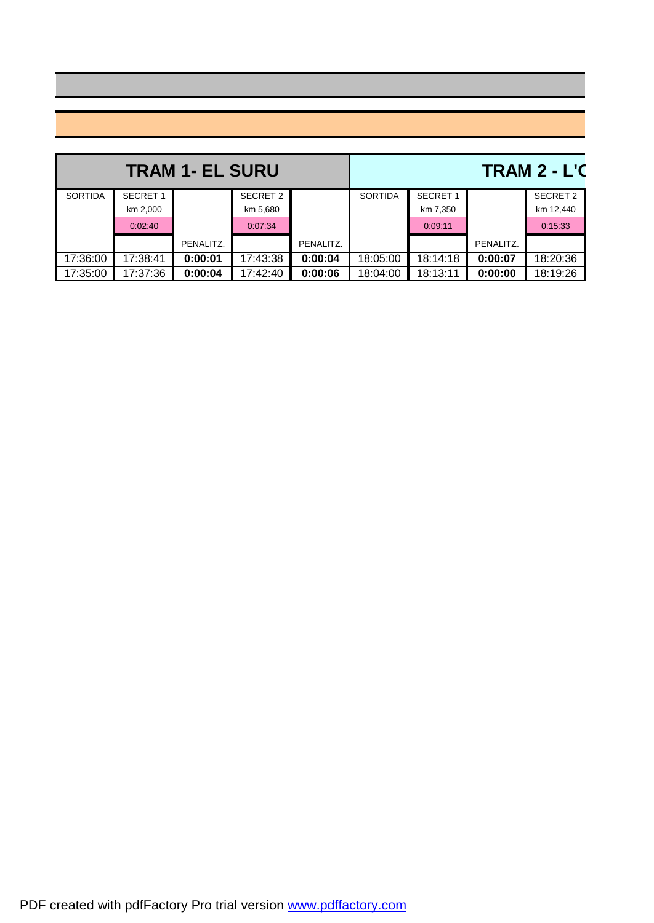|                |                 | <b>TRAM 1- EL SURU</b> |          | <b>TRAM 2 - L'C</b> |                |                 |           |           |
|----------------|-----------------|------------------------|----------|---------------------|----------------|-----------------|-----------|-----------|
| <b>SORTIDA</b> | <b>SECRET 1</b> |                        | SECRET 2 |                     | <b>SORTIDA</b> | <b>SECRET 1</b> |           | SECRET 2  |
|                | km 2,000        |                        | km 5,680 |                     |                | km 7,350        |           | km 12,440 |
|                | 0:02:40         |                        | 0:07:34  |                     |                | 0:09:11         |           | 0:15:33   |
|                |                 | PENALITZ.              |          | PENALITZ.           |                |                 | PENALITZ. |           |
| 17:36:00       | 17:38:41        | 0:00:01                | 17:43:38 | 0:00:04             | 18:05:00       | 18:14:18        | 0:00:07   | 18:20:36  |
| 17:35:00       | 17:37:36        | 0:00:04                | 17:42:40 | 0:00:06             | 18:04:00       | 18:13:11        | 0:00:00   | 18:19:26  |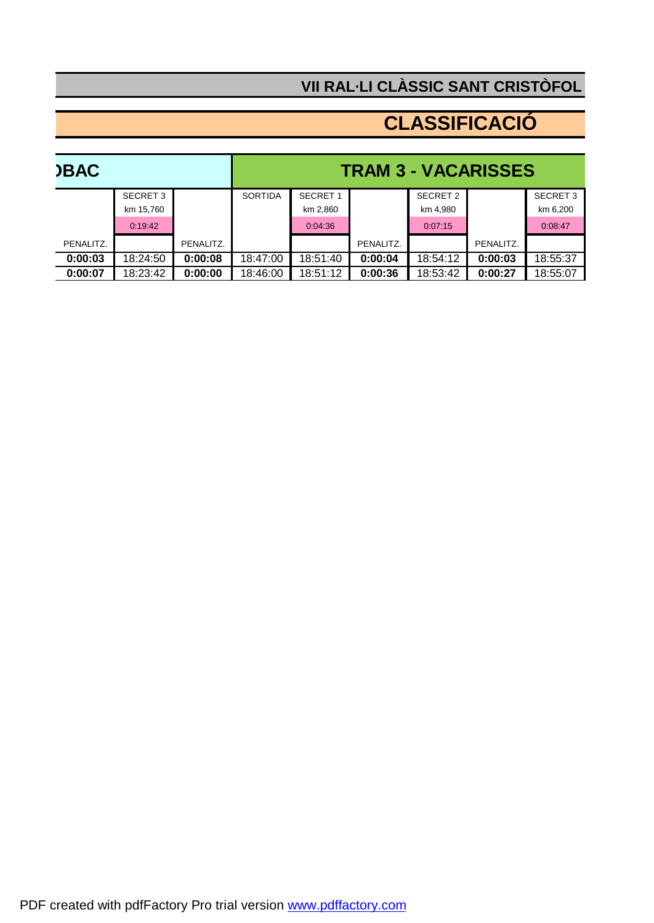## **VII RAL·LI CLÀSSIC SANT CRISTÒFOL 2012**

## **CLASSIFICACIÓ**

| <b>)BAC</b> |           |           | <b>TRAM 3 - VACARISSES</b> |                |                 |           |          |           |                 |
|-------------|-----------|-----------|----------------------------|----------------|-----------------|-----------|----------|-----------|-----------------|
|             |           | SECRET 3  |                            | <b>SORTIDA</b> | <b>SECRET 1</b> |           | SECRET 2 |           | <b>SECRET 3</b> |
|             |           | km 15.760 |                            |                | km 2,860        |           | km 4.980 |           | km 6,200        |
|             |           | 0:19:42   |                            |                | 0:04:36         |           | 0:07:15  |           | 0:08:47         |
|             | PENALITZ. |           | PENALITZ.                  |                |                 | PENALITZ. |          | PENALITZ. |                 |
|             | 0:00:03   | 18:24:50  | 0:00:08                    | 18:47:00       | 18:51:40        | 0:00:04   | 18:54:12 | 0:00:03   | 18:55:37        |
|             | 0:00:07   | 18:23:42  | 0:00:00                    | 18:46:00       | 18:51:12        | 0:00:36   | 18:53:42 | 0:00:27   | 18:55:07        |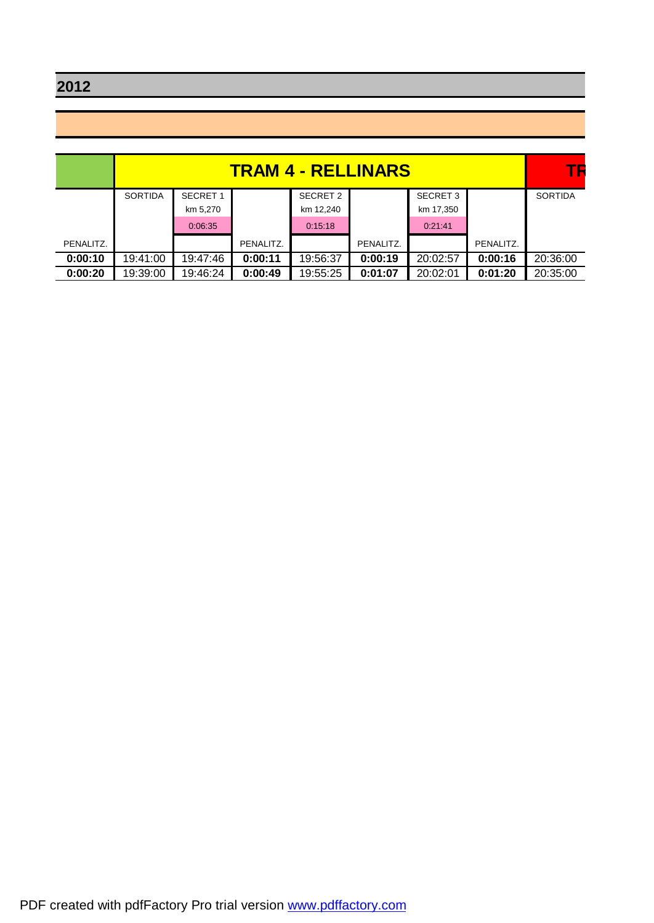**VII RAL·LI CLÀSSIC SANT CRISTÒFOL 2012**

|           | <b>TRAM 4 - RELLINARS</b><br>SECRET 3<br><b>SECRET</b><br>SECRET 2<br><b>SORTIDA</b><br>km 17,350<br>km 5,270<br>km 12,240<br>0:06:35<br>0:21:41<br>0:15:18<br>PENALITZ.<br>PENALITZ. |          |         |          |         | TБ       |           |                |
|-----------|---------------------------------------------------------------------------------------------------------------------------------------------------------------------------------------|----------|---------|----------|---------|----------|-----------|----------------|
|           |                                                                                                                                                                                       |          |         |          |         |          |           | <b>SORTIDA</b> |
|           |                                                                                                                                                                                       |          |         |          |         |          |           |                |
|           |                                                                                                                                                                                       |          |         |          |         |          |           |                |
| PENALITZ. |                                                                                                                                                                                       |          |         |          |         |          | PENALITZ. |                |
| 0:00:10   | 19:41:00                                                                                                                                                                              | 19:47:46 | 0:00:11 | 19:56:37 | 0:00:19 | 20:02:57 | 0:00:16   | 20:36:00       |
| 0:00:20   | 19:39:00                                                                                                                                                                              | 19:46:24 | 0:00:49 | 19:55:25 | 0:01:07 | 20:02:01 | 0:01:20   | 20:35:00       |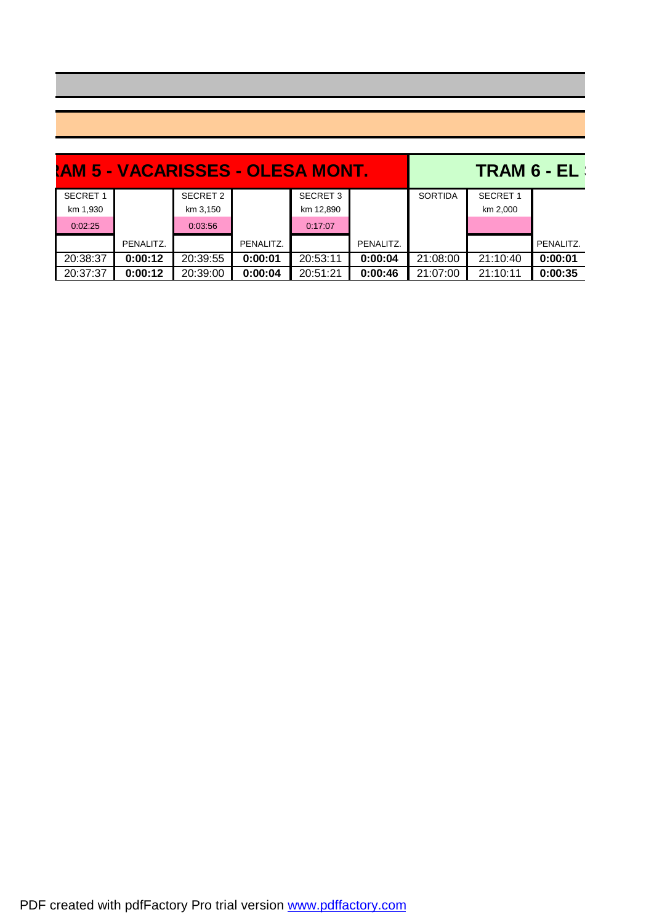|                 | AM 5 - VACARISSES - OLESA MONT. |          |           | <b>TRAM 6 - EL</b> |           |                |                 |           |
|-----------------|---------------------------------|----------|-----------|--------------------|-----------|----------------|-----------------|-----------|
| <b>SECRET 1</b> |                                 | SECRET 2 |           | <b>SECRET 3</b>    |           | <b>SORTIDA</b> | <b>SECRET 1</b> |           |
| km 1,930        |                                 | km 3,150 |           | km 12,890          |           |                | km 2,000        |           |
| 0:02:25         |                                 | 0:03:56  |           | 0:17:07            |           |                |                 |           |
|                 | PENALITZ.                       |          | PENALITZ. |                    | PENALITZ. |                |                 | PENALITZ. |
| 20:38:37        | 0:00:12                         | 20:39:55 | 0:00:01   | 20:53:11           | 0:00:04   | 21:08:00       | 21:10:40        | 0:00:01   |
| 20:37:37        | 0:00:12                         | 20:39:00 | 0:00:04   | 20:51:21           | 0:00:46   | 21:07:00       | 21:10:11        | 0:00:35   |